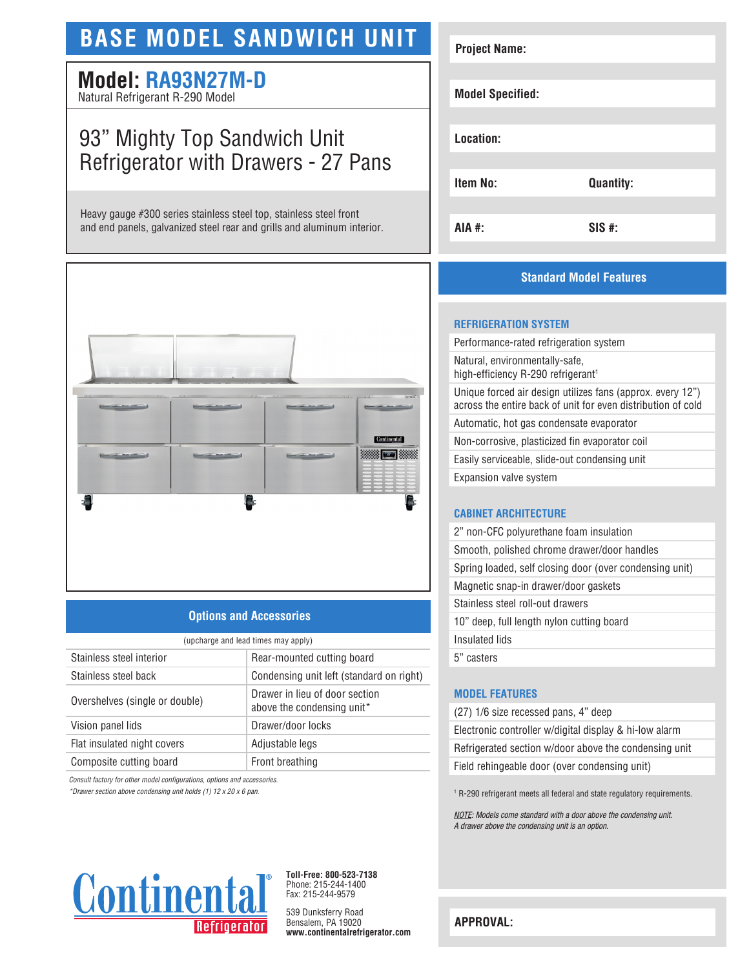## **BASE MODEL SANDWICH UNIT**

# **Model: RA93N27M-D**

Natural Refrigerant R-290 Model

## 93" Mighty Top Sandwich Unit Refrigerator with Drawers - 27 Pans

Heavy gauge #300 series stainless steel top, stainless steel front and end panels, galvanized steel rear and grills and aluminum interior.



#### **Options and Accessories**

| (upcharge and lead times may apply) |                                                              |  |
|-------------------------------------|--------------------------------------------------------------|--|
| Stainless steel interior            | Rear-mounted cutting board                                   |  |
| Stainless steel back                | Condensing unit left (standard on right)                     |  |
| Overshelves (single or double)      | Drawer in lieu of door section<br>above the condensing unit* |  |
| Vision panel lids                   | Drawer/door locks                                            |  |
| Flat insulated night covers         | Adjustable legs                                              |  |
| Composite cutting board             | Front breathing                                              |  |

*Consult factory for other model configurations, options and accessories.* 

*\*Drawer section above condensing unit holds (1) 12 x 20 x 6 pan.*



**Toll-Free: 800-523-7138** Phone: 215-244-1400 Fax: 215-244-9579

539 Dunksferry Road Bensalem, PA 19020 **www.continentalrefrigerator.com** 

| <b>Project Name:</b>    |                  |
|-------------------------|------------------|
|                         |                  |
|                         |                  |
| <b>Model Specified:</b> |                  |
|                         |                  |
|                         |                  |
| Location:               |                  |
|                         |                  |
|                         |                  |
| <b>Item No:</b>         | <b>Quantity:</b> |
|                         |                  |
|                         |                  |
| AIA #:                  | $SIS$ #:         |
|                         |                  |

#### **Standard Model Features**

#### **REFRIGERATION SYSTEM**

Performance-rated refrigeration system

Natural, environmentally-safe, high-efficiency R-290 refrigerant<sup>1</sup>

Unique forced air design utilizes fans (approx. every 12") across the entire back of unit for even distribution of cold

Automatic, hot gas condensate evaporator

Non-corrosive, plasticized fin evaporator coil

Easily serviceable, slide-out condensing unit

Expansion valve system

#### **CABINET ARCHITECTURE**

| 2" non-CFC polyurethane foam insulation                 |
|---------------------------------------------------------|
| Smooth, polished chrome drawer/door handles             |
| Spring loaded, self closing door (over condensing unit) |
| Magnetic snap-in drawer/door gaskets                    |
| Stainless steel roll-out drawers                        |
| 10" deep, full length nylon cutting board               |
| Insulated lids                                          |
| 5" casters                                              |

#### **MODEL FEATURES**

(27) 1/6 size recessed pans, 4" deep Electronic controller w/digital display & hi-low alarm Refrigerated section w/door above the condensing unit Field rehingeable door (over condensing unit)

<sup>1</sup> R-290 refrigerant meets all federal and state regulatory requirements.

*NOTE: Models come standard with a door above the condensing unit. A drawer above the condensing unit is an option.* 

**APPROVAL:**